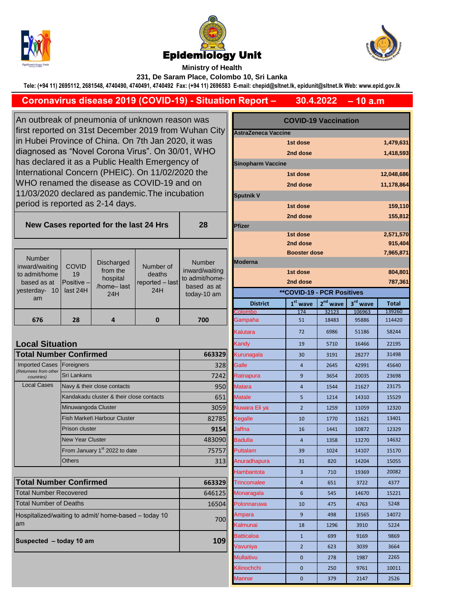





## **Ministry of Health 231, De Saram Place, Colombo 10, Sri Lanka**

**Tele: (+94 11) 2695112, 2681548, 4740490, 4740491, 4740492 Fax: (+94 11) 2696583 E-mail: chepid@sltnet.lk, epidunit@sltnet.lk Web: www.epid.gov.lk**

## **– 10 a.m 30.4.2022 Coronavirus disease 2019 (COVID-19) - Situation Report –**

An outbreak of pneumonia of unknown reason was first reported on 31st December 2019 from Wuhan City in Hubei Province of China. On 7th Jan 2020, it was diagnosed as "Novel Corona Virus". On 30/01, WHO has declared it as a Public Health Emergency of International Concern (PHEIC). On 11/02/2020 the WHO renamed the disease as COVID-19 and on 11/03/2020 declared as pandemic.The incubation period is reported as 2-14 days.

**New Cases reported for the last 24 Hrs** 

| Number<br>ard/waiting<br>admit/home<br>ased as at<br>terday-<br>10<br>am | <b>COVID</b><br>19<br>Positive -<br>last 24H | <b>Discharged</b><br>from the<br>hospital<br>/home-last<br>24H | Number of<br>deaths<br>reported - last<br>24H | <b>Number</b><br>inward/waiting<br>to admit/home-<br>based as at<br>today-10 am |
|--------------------------------------------------------------------------|----------------------------------------------|----------------------------------------------------------------|-----------------------------------------------|---------------------------------------------------------------------------------|
|                                                                          |                                              |                                                                |                                               |                                                                                 |

## **Local Situation**

inw to a  $b<sub>6</sub>$ yes

| <b>Total Number Confirmed</b>       | 663329                                    |        |
|-------------------------------------|-------------------------------------------|--------|
| <b>Imported Cases</b>               | Foreigners                                | 328    |
| (Returnees from other<br>countries) | Sri Lankans                               | 7242   |
| <b>Local Cases</b>                  | Navy & their close contacts               | 950    |
|                                     | Kandakadu cluster & their close contacts  | 651    |
|                                     | Minuwangoda Cluster                       | 3059   |
|                                     | Fish Market\ Harbour Cluster              | 82785  |
|                                     | Prison cluster                            | 9154   |
|                                     | <b>New Year Cluster</b>                   | 483090 |
|                                     | From January 1 <sup>st</sup> 2022 to date | 75757  |
|                                     | <b>Others</b>                             | 313    |

| <b>Total Number Confirmed</b>                               | 663329 |
|-------------------------------------------------------------|--------|
| <b>Total Number Recovered</b>                               | 646125 |
| <b>Total Number of Deaths</b>                               | 16504  |
| Hospitalized/waiting to admit/ home-based - today 10<br>lam | 700    |
| Suspected - today 10 am                                     | 109    |

| utbreak of pneumonia of unknown reason was<br>reported on 31st December 2019 from Wuhan City<br>ubei Province of China. On 7th Jan 2020, it was |                                          |                                                 |                                             | <b>COVID-19 Vaccination</b>                         |                       |                                   |            |          |              |
|-------------------------------------------------------------------------------------------------------------------------------------------------|------------------------------------------|-------------------------------------------------|---------------------------------------------|-----------------------------------------------------|-----------------------|-----------------------------------|------------|----------|--------------|
|                                                                                                                                                 |                                          |                                                 |                                             | <b>AstraZeneca Vaccine</b><br>1st dose<br>1,479,631 |                       |                                   |            |          |              |
| nosed as "Novel Corona Virus". On 30/01, WHO                                                                                                    |                                          |                                                 |                                             |                                                     |                       |                                   |            |          |              |
| declared it as a Public Health Emergency of                                                                                                     |                                          |                                                 |                                             |                                                     | 1,418,593<br>2nd dose |                                   |            |          |              |
| national Concern (PHEIC). On 11/02/2020 the                                                                                                     |                                          |                                                 |                                             | <b>Sinopharm Vaccine</b>                            |                       |                                   |            |          |              |
|                                                                                                                                                 |                                          |                                                 | O renamed the disease as COVID-19 and on    |                                                     | 1st dose              |                                   |            |          | 12,048,686   |
|                                                                                                                                                 |                                          |                                                 | 3/2020 declared as pandemic. The incubation |                                                     |                       | 2nd dose                          |            |          | 11,178,864   |
|                                                                                                                                                 |                                          |                                                 |                                             |                                                     | <b>Sputnik V</b>      |                                   |            |          |              |
| od is reported as 2-14 days.                                                                                                                    |                                          |                                                 |                                             |                                                     | 1st dose              |                                   |            | 159,110  |              |
| ew Cases reported for the last 24 Hrs                                                                                                           |                                          |                                                 | 28                                          | <b>Pfizer</b>                                       | 2nd dose              |                                   |            | 155,812  |              |
|                                                                                                                                                 |                                          |                                                 |                                             |                                                     |                       | 1st dose                          |            |          | 2,571,570    |
|                                                                                                                                                 |                                          |                                                 |                                             |                                                     |                       | 2nd dose                          |            |          | 915,404      |
|                                                                                                                                                 |                                          |                                                 |                                             |                                                     |                       | <b>Booster dose</b>               |            |          | 7,965,871    |
| umber<br>d/waiting                                                                                                                              | <b>COVID</b>                             | <b>Discharged</b>                               | Number of                                   | <b>Number</b>                                       | <b>Moderna</b>        |                                   |            |          |              |
| mit/home                                                                                                                                        | 19                                       | from the                                        | deaths                                      | inward/waiting                                      |                       | 1st dose                          |            |          | 804,801      |
| ed as at                                                                                                                                        | Positive -                               | hospital<br>/home-last                          | reported - last<br>24H                      | to admit/home-<br>based as at                       |                       | 2nd dose                          |            |          | 787,361      |
| rday- 10<br>am                                                                                                                                  | last 24H                                 | 24H                                             |                                             | today-10 am                                         |                       | <b>**COVID-19 - PCR Positives</b> |            |          |              |
|                                                                                                                                                 |                                          |                                                 |                                             |                                                     | <b>District</b>       | $1st$ wave                        | $2nd$ wave | 3rd wave | <b>Total</b> |
|                                                                                                                                                 | 28                                       | 4                                               | $\mathbf 0$                                 | 700                                                 | Colombo               | 174                               | 32123      | 106963   | 139260       |
| 676                                                                                                                                             |                                          |                                                 |                                             |                                                     | Gampaha               | 51                                | 18483      | 95886    | 114420       |
|                                                                                                                                                 |                                          |                                                 |                                             |                                                     | Kalutara              | 72                                | 6986       | 51186    | 58244        |
| al Situation                                                                                                                                    |                                          |                                                 |                                             |                                                     | Kandy                 | 19                                | 5710       | 16466    | 22195        |
|                                                                                                                                                 | <b>I Number Confirmed</b>                |                                                 |                                             | 663329                                              | Kurunagala            | 30                                | 3191       | 28277    | 31498        |
| ted Cases<br>es from other                                                                                                                      | Foreigners                               |                                                 |                                             | 328                                                 | Galle                 | $\overline{a}$                    | 2645       | 42991    | 45640        |
| untries)                                                                                                                                        | Sri Lankans                              |                                                 |                                             | 7242                                                | Ratnapura             | 9                                 | 3654       | 20035    | 23698        |
| al Cases                                                                                                                                        | Navy & their close contacts              |                                                 |                                             | 950                                                 | Matara                | $\overline{4}$                    | 1544       | 21627    | 23175        |
|                                                                                                                                                 | Kandakadu cluster & their close contacts |                                                 |                                             | 651                                                 | <b>Matale</b>         | 5                                 | 1214       | 14310    | 15529        |
|                                                                                                                                                 | Minuwangoda Cluster                      |                                                 |                                             | 3059                                                | Nuwara Eli ya         | $\overline{2}$                    | 1259       | 11059    | 12320        |
|                                                                                                                                                 |                                          | Fish Market\ Harbour Cluster                    |                                             | 82785                                               | Kegalle               | 10                                | 1770       | 11621    | 13401        |
|                                                                                                                                                 | Prison cluster                           |                                                 |                                             | 9154                                                | <b>Jaffna</b>         | 16                                | 1441       | 10872    | 12329        |
|                                                                                                                                                 | <b>New Year Cluster</b>                  |                                                 |                                             | 483090                                              | <b>Badulla</b>        | $\overline{a}$                    | 1358       | 13270    | 14632        |
|                                                                                                                                                 | From January 1st 2022 to date            |                                                 |                                             | 75757                                               | Puttalam              | 39                                | 1024       | 14107    | 15170        |
|                                                                                                                                                 | <b>Others</b>                            |                                                 |                                             | 313                                                 | Anuradhapura          | 31                                | 820        | 14204    | 15055        |
|                                                                                                                                                 |                                          |                                                 |                                             |                                                     | Hambantota            | 3                                 | 710        | 19369    | 20082        |
|                                                                                                                                                 | <b>I Number Confirmed</b>                |                                                 |                                             | 663329                                              | <b>Trincomalee</b>    | 4                                 | 651        | 3722     | 4377         |
| Number Recovered                                                                                                                                |                                          |                                                 |                                             | 646125                                              | Monaragala            | 6                                 | 545        | 14670    | 15221        |
| <b>Number of Deaths</b>                                                                                                                         |                                          |                                                 | 16504                                       | Polonnaruwa                                         | 10                    | 475                               | 4763       | 5248     |              |
|                                                                                                                                                 |                                          | talized/waiting to admit/ home-based - today 10 |                                             |                                                     | Ampara                | 9                                 | 498        | 13565    | 14072        |
|                                                                                                                                                 |                                          |                                                 |                                             | 700                                                 | Kalmunai              | 18                                | 1296       | 3910     | 5224         |
| ected – today 10 am                                                                                                                             |                                          |                                                 |                                             | Batticaloa                                          | $\mathbf{1}$          | 699                               | 9169       | 9869     |              |
|                                                                                                                                                 |                                          |                                                 |                                             | 109                                                 | Vavuniya              | $\overline{2}$                    | 623        | 3039     | 3664         |
|                                                                                                                                                 |                                          |                                                 |                                             |                                                     | Mullaitivu            | 0                                 | 278        | 1987     | 2265         |
|                                                                                                                                                 |                                          |                                                 |                                             |                                                     | Kilinochchi           | 0                                 | 250        | 9761     | 10011        |
|                                                                                                                                                 |                                          |                                                 |                                             |                                                     | Mannar                | 0                                 | 379        | 2147     | 2526         |